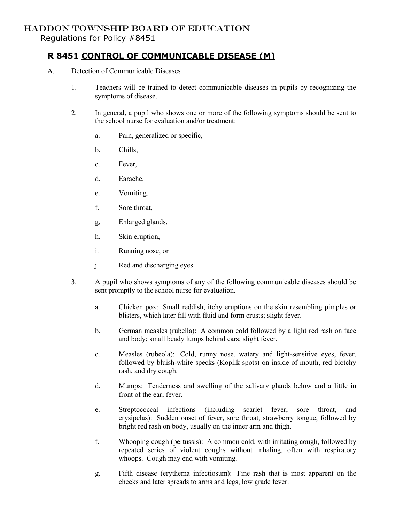## HADDON TOWNSHIP BOARD OF EDUCATION

Regulations for Policy #8451

## **R 8451 CONTROL OF COMMUNICABLE DISEASE (M)**

- A. Detection of Communicable Diseases
	- 1. Teachers will be trained to detect communicable diseases in pupils by recognizing the symptoms of disease.
	- 2. In general, a pupil who shows one or more of the following symptoms should be sent to the school nurse for evaluation and/or treatment:
		- a. Pain, generalized or specific,
		- b. Chills,
		- c. Fever,
		- d. Earache,
		- e. Vomiting,
		- f. Sore throat,
		- g. Enlarged glands,
		- h. Skin eruption,
		- i. Running nose, or
		- j. Red and discharging eyes.
	- 3. A pupil who shows symptoms of any of the following communicable diseases should be sent promptly to the school nurse for evaluation.
		- a. Chicken pox: Small reddish, itchy eruptions on the skin resembling pimples or blisters, which later fill with fluid and form crusts; slight fever.
		- b. German measles (rubella): A common cold followed by a light red rash on face and body; small beady lumps behind ears; slight fever.
		- c. Measles (rubeola): Cold, runny nose, watery and light-sensitive eyes, fever, followed by bluish-white specks (Koplik spots) on inside of mouth, red blotchy rash, and dry cough.
		- d. Mumps: Tenderness and swelling of the salivary glands below and a little in front of the ear; fever.
		- e. Streptococcal infections (including scarlet fever, sore throat, and erysipelas): Sudden onset of fever, sore throat, strawberry tongue, followed by bright red rash on body, usually on the inner arm and thigh.
		- f. Whooping cough (pertussis): A common cold, with irritating cough, followed by repeated series of violent coughs without inhaling, often with respiratory whoops. Cough may end with vomiting.
		- g. Fifth disease (erythema infectiosum): Fine rash that is most apparent on the cheeks and later spreads to arms and legs, low grade fever.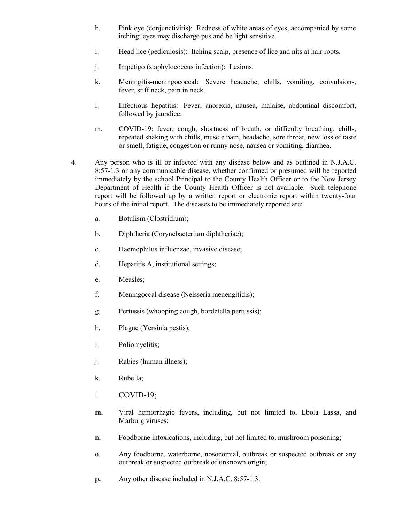- h. Pink eye (conjunctivitis): Redness of white areas of eyes, accompanied by some itching; eyes may discharge pus and be light sensitive.
- i. Head lice (pediculosis): Itching scalp, presence of lice and nits at hair roots.
- j. Impetigo (staphylococcus infection): Lesions.
- k. Meningitis-meningococcal: Severe headache, chills, vomiting, convulsions, fever, stiff neck, pain in neck.
- l. Infectious hepatitis: Fever, anorexia, nausea, malaise, abdominal discomfort, followed by jaundice.
- m. COVID-19: fever, cough, shortness of breath, or difficulty breathing, chills, repeated shaking with chills, muscle pain, headache, sore throat, new loss of taste or smell, fatigue, congestion or runny nose, nausea or vomiting, diarrhea.
- 4. Any person who is ill or infected with any disease below and as outlined in N.J.A.C. 8:57-1.3 or any communicable disease, whether confirmed or presumed will be reported immediately by the school Principal to the County Health Officer or to the New Jersey Department of Health if the County Health Officer is not available. Such telephone report will be followed up by a written report or electronic report within twenty-four hours of the initial report. The diseases to be immediately reported are:
	- a. Botulism (Clostridium);
	- b. Diphtheria (Corynebacterium diphtheriae);
	- c. Haemophilus influenzae, invasive disease;
	- d. Hepatitis A, institutional settings;
	- e. Measles;
	- f. Meningoccal disease (Neisseria menengitidis);
	- g. Pertussis (whooping cough, bordetella pertussis);
	- h. Plague (Yersinia pestis);
	- i. Poliomyelitis;
	- j. Rabies (human illness);
	- k. Rubella;
	- l. COVID-19;
	- **m.** Viral hemorrhagic fevers, including, but not limited to, Ebola Lassa, and Marburg viruses;
	- **n.** Foodborne intoxications, including, but not limited to, mushroom poisoning;
	- **o**. Any foodborne, waterborne, nosocomial, outbreak or suspected outbreak or any outbreak or suspected outbreak of unknown origin;
	- **p.** Any other disease included in N.J.A.C. 8:57-1.3.